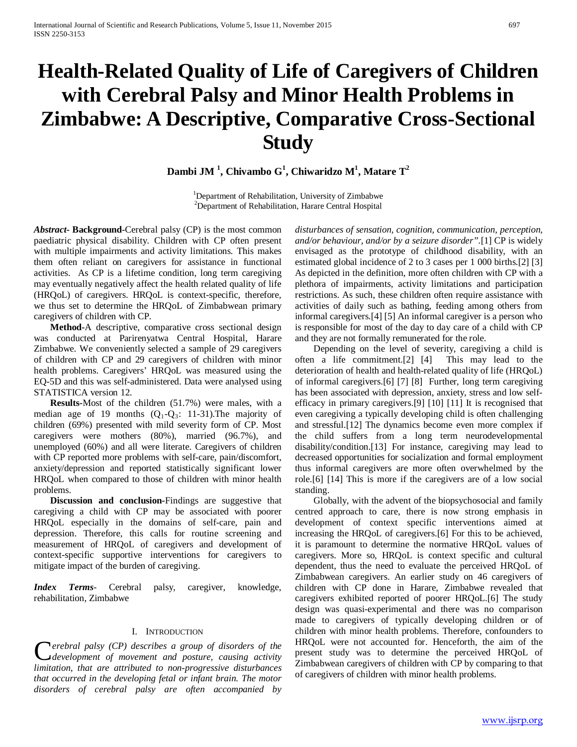# **Health-Related Quality of Life of Caregivers of Children with Cerebral Palsy and Minor Health Problems in Zimbabwe: A Descriptive, Comparative Cross-Sectional Study**

**Dambi JM <sup>1</sup> , Chivambo G<sup>1</sup> , Chiwaridzo M1 , Matare T<sup>2</sup>**

<sup>1</sup>Department of Rehabilitation, University of Zimbabwe<br><sup>2</sup>Department of Rehabilitation, Herene Central Hespital <sup>2</sup>Department of Rehabilitation, Harare Central Hospital

*Abstract***- Background-**Cerebral palsy (CP) is the most common paediatric physical disability. Children with CP often present with multiple impairments and activity limitations. This makes them often reliant on caregivers for assistance in functional activities. As CP is a lifetime condition, long term caregiving may eventually negatively affect the health related quality of life (HRQoL) of caregivers. HRQoL is context-specific, therefore, we thus set to determine the HRQoL of Zimbabwean primary caregivers of children with CP.

 **Method-**A descriptive, comparative cross sectional design was conducted at Parirenyatwa Central Hospital, Harare Zimbabwe. We conveniently selected a sample of 29 caregivers of children with CP and 29 caregivers of children with minor health problems. Caregivers' HRQoL was measured using the EQ-5D and this was self-administered. Data were analysed using STATISTICA version 12.

 **Results-**Most of the children (51.7%) were males, with a median age of 19 months  $(Q_1-Q_3: 11-31)$ . The majority of children (69%) presented with mild severity form of CP. Most caregivers were mothers (80%), married (96.7%), and unemployed (60%) and all were literate. Caregivers of children with CP reported more problems with self-care, pain/discomfort, anxiety/depression and reported statistically significant lower HRQoL when compared to those of children with minor health problems.

 **Discussion and conclusion-**Findings are suggestive that caregiving a child with CP may be associated with poorer HRQoL especially in the domains of self-care, pain and depression. Therefore, this calls for routine screening and measurement of HRQoL of caregivers and development of context-specific supportive interventions for caregivers to mitigate impact of the burden of caregiving.

*Index Terms*- Cerebral palsy, caregiver, knowledge, rehabilitation, Zimbabwe

#### I. INTRODUCTION

*erebral palsy (CP) describes a group of disorders of the development of movement and posture, causing activity Cerebral palsy (CP) describes a group of disorders of the development of movement and posture, causing activity limitation, that are attributed to non-progressive disturbances that occurred in the developing fetal or infant brain. The motor disorders of cerebral palsy are often accompanied by* 

*disturbances of sensation, cognition, communication, perception, and/or behaviour, and/or by a seizure disorder".*[1] CP is widely envisaged as the prototype of childhood disability, with an estimated global incidence of 2 to 3 cases per 1 000 births.[2] [3] As depicted in the definition, more often children with CP with a plethora of impairments, activity limitations and participation restrictions. As such, these children often require assistance with activities of daily such as bathing, feeding among others from informal caregivers.[4] [5] An informal caregiver is a person who is responsible for most of the day to day care of a child with CP and they are not formally remunerated for the role.

 Depending on the level of severity, caregiving a child is often a life commitment.[2] [4] This may lead to the deterioration of health and health-related quality of life (HRQoL) of informal caregivers.[6] [7] [8] Further, long term caregiving has been associated with depression, anxiety, stress and low selfefficacy in primary caregivers.[9] [10] [11] It is recognised that even caregiving a typically developing child is often challenging and stressful.[12] The dynamics become even more complex if the child suffers from a long term neurodevelopmental disability/condition.[13] For instance, caregiving may lead to decreased opportunities for socialization and formal employment thus informal caregivers are more often overwhelmed by the role.[6] [14] This is more if the caregivers are of a low social standing.

 Globally, with the advent of the biopsychosocial and family centred approach to care, there is now strong emphasis in development of context specific interventions aimed at increasing the HRQoL of caregivers.[6] For this to be achieved, it is paramount to determine the normative HRQoL values of caregivers. More so, HRQoL is context specific and cultural dependent, thus the need to evaluate the perceived HRQoL of Zimbabwean caregivers. An earlier study on 46 caregivers of children with CP done in Harare, Zimbabwe revealed that caregivers exhibited reported of poorer HRQoL.[6] The study design was quasi-experimental and there was no comparison made to caregivers of typically developing children or of children with minor health problems. Therefore, confounders to HRQoL were not accounted for. Henceforth, the aim of the present study was to determine the perceived HRQoL of Zimbabwean caregivers of children with CP by comparing to that of caregivers of children with minor health problems.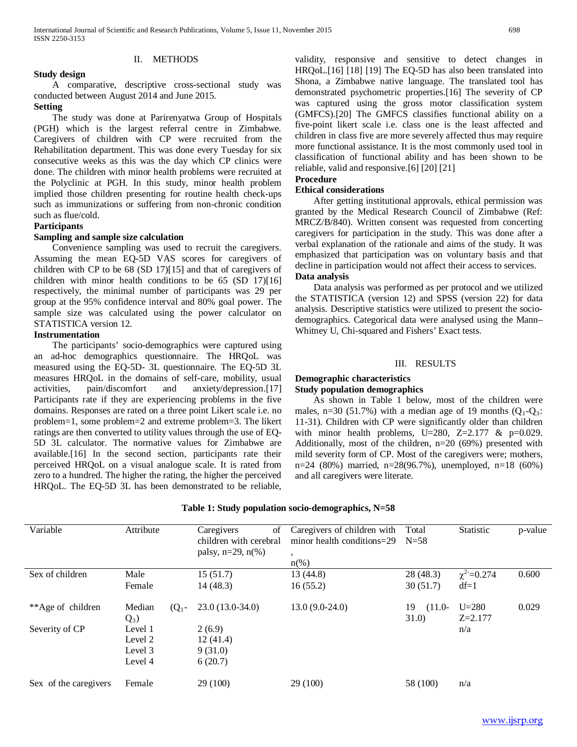# II. METHODS

## **Study design**

 A comparative, descriptive cross-sectional study was conducted between August 2014 and June 2015.

# **Setting**

 The study was done at Parirenyatwa Group of Hospitals (PGH) which is the largest referral centre in Zimbabwe. Caregivers of children with CP were recruited from the Rehabilitation department. This was done every Tuesday for six consecutive weeks as this was the day which CP clinics were done. The children with minor health problems were recruited at the Polyclinic at PGH. In this study, minor health problem implied those children presenting for routine health check-ups such as immunizations or suffering from non-chronic condition such as flue/cold.

#### **Participants**

# **Sampling and sample size calculation**

 Convenience sampling was used to recruit the caregivers. Assuming the mean EQ-5D VAS scores for caregivers of children with CP to be 68 (SD 17)[15] and that of caregivers of children with minor health conditions to be 65 (SD 17)[16] respectively, the minimal number of participants was 29 per group at the 95% confidence interval and 80% goal power. The sample size was calculated using the power calculator on STATISTICA version 12.

# **Instrumentation**

 The participants' socio-demographics were captured using an ad-hoc demographics questionnaire. The HRQoL was measured using the EQ-5D- 3L questionnaire. The EQ-5D 3L measures HRQoL in the domains of self-care, mobility, usual activities, pain/discomfort and anxiety/depression.[17] Participants rate if they are experiencing problems in the five domains. Responses are rated on a three point Likert scale i.e. no problem=1, some problem=2 and extreme problem=3. The likert ratings are then converted to utility values through the use of EQ-5D 3L calculator. The normative values for Zimbabwe are available.[16] In the second section, participants rate their perceived HRQoL on a visual analogue scale. It is rated from zero to a hundred. The higher the rating, the higher the perceived HRQoL. The EQ-5D 3L has been demonstrated to be reliable, validity, responsive and sensitive to detect changes in HRQoL.[16] [18] [19] The EQ-5D has also been translated into Shona, a Zimbabwe native language. The translated tool has demonstrated psychometric properties.[16] The severity of CP was captured using the gross motor classification system (GMFCS).[20] The GMFCS classifies functional ability on a five-point likert scale i.e. class one is the least affected and children in class five are more severely affected thus may require more functional assistance. It is the most commonly used tool in classification of functional ability and has been shown to be reliable, valid and responsive.[6] [20] [21]

# **Procedure**

#### **Ethical considerations**

 After getting institutional approvals, ethical permission was granted by the Medical Research Council of Zimbabwe (Ref: MRCZ/B/840). Written consent was requested from concerting caregivers for participation in the study. This was done after a verbal explanation of the rationale and aims of the study. It was emphasized that participation was on voluntary basis and that decline in participation would not affect their access to services.

#### **Data analysis**

 Data analysis was performed as per protocol and we utilized the STATISTICA (version 12) and SPSS (version 22) for data analysis. Descriptive statistics were utilized to present the sociodemographics. Categorical data were analysed using the Mann– Whitney U, Chi-squared and Fishers' Exact tests.

#### III. RESULTS

## **Demographic characteristics Study population demographics**

 As shown in Table 1 below, most of the children were males, n=30 (51.7%) with a median age of 19 months  $(O_1-O_3)$ : 11-31). Children with CP were significantly older than children with minor health problems, U=280, Z=2.177  $\&$  p=0.029. Additionally, most of the children, n=20 (69%) presented with mild severity form of CP. Most of the caregivers were; mothers, n=24 (80%) married, n=28(96.7%), unemployed, n=18 (60%) and all caregivers were literate.

| Variable              | Attribute                                | of<br>Caregivers<br>children with cerebral<br>palsy, $n=29$ , $n(\%)$ | Caregivers of children with<br>minor health conditions= $29$<br>۰ | Total<br>$N=58$         | Statistic                 | p-value |
|-----------------------|------------------------------------------|-----------------------------------------------------------------------|-------------------------------------------------------------------|-------------------------|---------------------------|---------|
| Sex of children       | Male<br>Female                           | 15(51.7)<br>14 (48.3)                                                 | $n\frac{\omega}{6}$<br>13 (44.8)<br>16(55.2)                      | 28(48.3)<br>30(51.7)    | $\chi^2$ =0.274<br>$df=1$ | 0.600   |
| **Age of children     | Median<br>$(Q_1 -$<br>$Q_3$ )            | $23.0(13.0-34.0)$                                                     | $13.0(9.0-24.0)$                                                  | $(11.0-$<br>19<br>31.0) | $U = 280$<br>$Z = 2.177$  | 0.029   |
| Severity of CP        | Level 1<br>Level 2<br>Level 3<br>Level 4 | 2(6.9)<br>12(41.4)<br>9(31.0)<br>6(20.7)                              |                                                                   |                         | n/a                       |         |
| Sex of the caregivers | Female                                   | 29(100)                                                               | 29 (100)                                                          | 58 (100)                | n/a                       |         |

# **Table 1: Study population socio-demographics, N=58**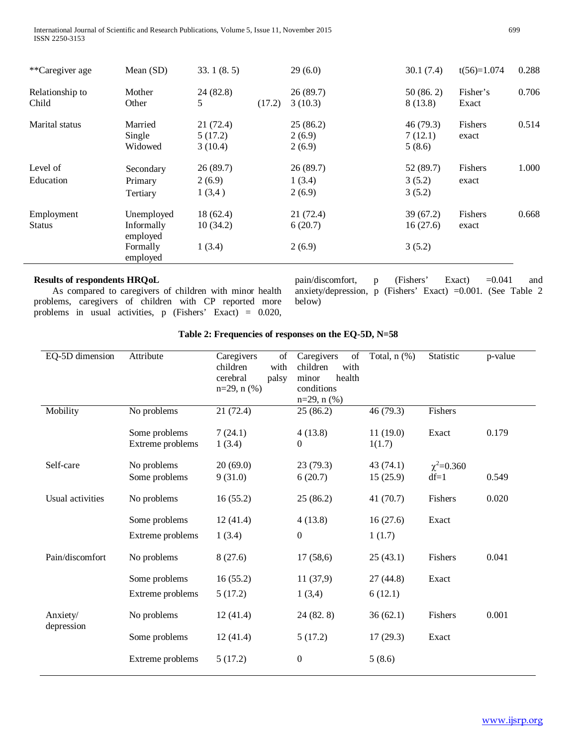International Journal of Scientific and Research Publications, Volume 5, Issue 11, November 2015 699 ISSN 2250-3153

| **Caregiver age             | Mean $(SD)$                                                  | 33.1(8.5)                      |        | 29(6.0)                       | 30.1(7.4)                       | $t(56)=1.074$     | 0.288 |
|-----------------------------|--------------------------------------------------------------|--------------------------------|--------|-------------------------------|---------------------------------|-------------------|-------|
| Relationship to<br>Child    | Mother<br>Other                                              | 24 (82.8)<br>5                 | (17.2) | 26(89.7)<br>3(10.3)           | 50(86.2)<br>8(13.8)             | Fisher's<br>Exact | 0.706 |
| Marital status              | Married<br>Single<br>Widowed                                 | 21(72.4)<br>5(17.2)<br>3(10.4) |        | 25(86.2)<br>2(6.9)<br>2(6.9)  | 46(79.3)<br>7(12.1)<br>5(8.6)   | Fishers<br>exact  | 0.514 |
| Level of<br>Education       | Secondary<br>Primary<br>Tertiary                             | 26(89.7)<br>2(6.9)<br>1(3,4)   |        | 26(89.7)<br>1(3.4)<br>2(6.9)  | 52(89.7)<br>3(5.2)<br>3(5.2)    | Fishers<br>exact  | 1.000 |
| Employment<br><b>Status</b> | Unemployed<br>Informally<br>employed<br>Formally<br>employed | 18(62.4)<br>10(34.2)<br>1(3.4) |        | 21(72.4)<br>6(20.7)<br>2(6.9) | 39 (67.2)<br>16(27.6)<br>3(5.2) | Fishers<br>exact  | 0.668 |

# **Results of respondents HRQoL**

 As compared to caregivers of children with minor health problems, caregivers of children with CP reported more problems in usual activities, p (Fishers' Exact) = 0.020, pain/discomfort, p (Fishers' Exact) =0.041 and anxiety/depression, p (Fishers' Exact) =0.001. (See Table 2 below)

| EQ-5D dimension        | Attribute                         | Caregivers<br>of<br>children<br>with<br>cerebral<br>palsy<br>$n=29$ , $n$ (%) | Caregivers<br>of<br>children<br>with<br>minor<br>health<br>conditions<br>$n=29$ , $n$ (%) | Total, $n$ $(\%)$    | Statistic                 | p-value |
|------------------------|-----------------------------------|-------------------------------------------------------------------------------|-------------------------------------------------------------------------------------------|----------------------|---------------------------|---------|
| Mobility               | No problems                       | 21(72.4)                                                                      | 25(86.2)                                                                                  | 46 (79.3)            | Fishers                   |         |
|                        | Some problems<br>Extreme problems | 7(24.1)<br>1(3.4)                                                             | 4(13.8)<br>0                                                                              | 11(19.0)<br>1(1.7)   | Exact                     | 0.179   |
| Self-care              | No problems<br>Some problems      | 20(69.0)<br>9(31.0)                                                           | 23(79.3)<br>6(20.7)                                                                       | 43(74.1)<br>15(25.9) | $\chi^2$ =0.360<br>$df=1$ | 0.549   |
| Usual activities       | No problems                       | 16(55.2)                                                                      | 25(86.2)                                                                                  | 41 (70.7)            | Fishers                   | 0.020   |
|                        | Some problems<br>Extreme problems | 12(41.4)<br>1(3.4)                                                            | 4(13.8)<br>0                                                                              | 16(27.6)<br>1(1.7)   | Exact                     |         |
| Pain/discomfort        | No problems                       | 8(27.6)                                                                       | 17(58,6)                                                                                  | 25(43.1)             | Fishers                   | 0.041   |
|                        | Some problems<br>Extreme problems | 16(55.2)<br>5(17.2)                                                           | 11(37,9)<br>1(3,4)                                                                        | 27(44.8)<br>6(12.1)  | Exact                     |         |
| Anxiety/<br>depression | No problems                       | 12(41.4)                                                                      | 24 (82.8)                                                                                 | 36(62.1)             | Fishers                   | 0.001   |
|                        | Some problems                     | 12(41.4)                                                                      | 5(17.2)                                                                                   | 17(29.3)             | Exact                     |         |
|                        | Extreme problems                  | 5(17.2)                                                                       | 0                                                                                         | 5(8.6)               |                           |         |

# **Table 2: Frequencies of responses on the EQ-5D, N=58**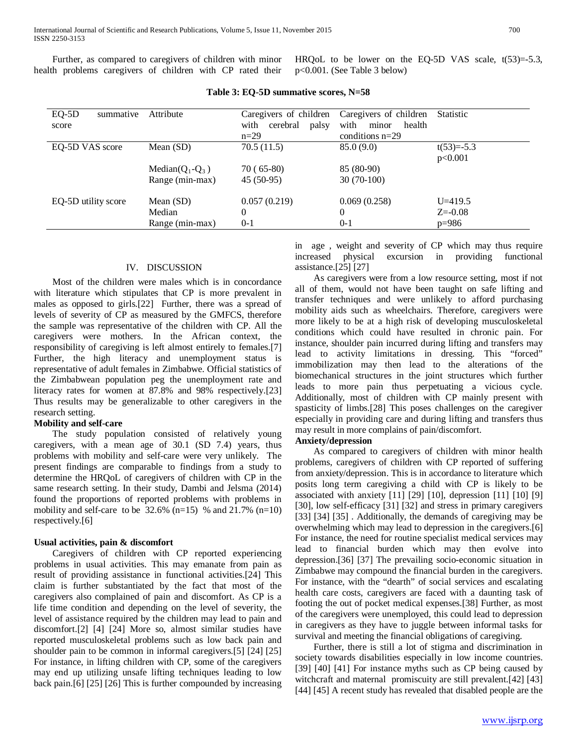Further, as compared to caregivers of children with minor health problems caregivers of children with CP rated their

HRQoL to be lower on the EQ-5D VAS scale,  $t(53)=5.3$ , p<0.001. (See Table 3 below)

| $EQ-5D$<br>summative | Attribute           | Caregivers of children    | Caregivers of children  | <b>Statistic</b> |
|----------------------|---------------------|---------------------------|-------------------------|------------------|
| score                |                     | with<br>cerebral<br>palsy | with<br>health<br>minor |                  |
|                      |                     | $n=29$                    | conditions $n=29$       |                  |
| EQ-5D VAS score      | Mean $(SD)$         | 70.5(11.5)                | 85.0(9.0)               | $t(53)=-5.3$     |
|                      |                     |                           |                         | p<0.001          |
|                      | Median( $Q_1-Q_3$ ) | $70(65-80)$               | 85 (80-90)              |                  |
|                      | Range (min-max)     | $45(50-95)$               | $30(70-100)$            |                  |
| EQ-5D utility score  | Mean $(SD)$         | 0.057(0.219)              | 0.069(0.258)            | $U = 419.5$      |
|                      | Median              | $\Omega$                  | $\theta$                | $Z = -0.08$      |
|                      | Range (min-max)     | $0 - 1$                   | $0 - 1$                 | $p=986$          |

**Table 3: EQ-5D summative scores, N=58**

#### IV. DISCUSSION

 Most of the children were males which is in concordance with literature which stipulates that CP is more prevalent in males as opposed to girls.[22] Further, there was a spread of levels of severity of CP as measured by the GMFCS, therefore the sample was representative of the children with CP. All the caregivers were mothers. In the African context, the responsibility of caregiving is left almost entirely to females.[7] Further, the high literacy and unemployment status is representative of adult females in Zimbabwe. Official statistics of the Zimbabwean population peg the unemployment rate and literacy rates for women at 87.8% and 98% respectively.[23] Thus results may be generalizable to other caregivers in the research setting.

#### **Mobility and self-care**

 The study population consisted of relatively young caregivers, with a mean age of 30.1 (SD 7.4) years, thus problems with mobility and self-care were very unlikely. The present findings are comparable to findings from a study to determine the HRQoL of caregivers of children with CP in the same research setting. In their study, Dambi and Jelsma (2014) found the proportions of reported problems with problems in mobility and self-care to be  $32.6\%$  (n=15) % and  $21.7\%$  (n=10) respectively.[6]

#### **Usual activities, pain & discomfort**

 Caregivers of children with CP reported experiencing problems in usual activities. This may emanate from pain as result of providing assistance in functional activities.[24] This claim is further substantiated by the fact that most of the caregivers also complained of pain and discomfort. As CP is a life time condition and depending on the level of severity, the level of assistance required by the children may lead to pain and discomfort.[2] [4] [24] More so, almost similar studies have reported musculoskeletal problems such as low back pain and shoulder pain to be common in informal caregivers.[5] [24] [25] For instance, in lifting children with CP, some of the caregivers may end up utilizing unsafe lifting techniques leading to low back pain.[6] [25] [26] This is further compounded by increasing in age , weight and severity of CP which may thus require increased physical excursion in providing functional assistance.[25] [27]

 As caregivers were from a low resource setting, most if not all of them, would not have been taught on safe lifting and transfer techniques and were unlikely to afford purchasing mobility aids such as wheelchairs. Therefore, caregivers were more likely to be at a high risk of developing musculoskeletal conditions which could have resulted in chronic pain. For instance, shoulder pain incurred during lifting and transfers may lead to activity limitations in dressing. This "forced" immobilization may then lead to the alterations of the biomechanical structures in the joint structures which further leads to more pain thus perpetuating a vicious cycle. Additionally, most of children with CP mainly present with spasticity of limbs.[28] This poses challenges on the caregiver especially in providing care and during lifting and transfers thus may result in more complains of pain/discomfort.

# **Anxiety/depression**

 As compared to caregivers of children with minor health problems, caregivers of children with CP reported of suffering from anxiety/depression. This is in accordance to literature which posits long term caregiving a child with CP is likely to be associated with anxiety [11] [29] [10], depression [11] [10] [9] [30], low self-efficacy [31] [32] and stress in primary caregivers [33] [34] [35]. Additionally, the demands of caregiving may be overwhelming which may lead to depression in the caregivers.[6] For instance, the need for routine specialist medical services may lead to financial burden which may then evolve into depression.[36] [37] The prevailing socio-economic situation in Zimbabwe may compound the financial burden in the caregivers. For instance, with the "dearth" of social services and escalating health care costs, caregivers are faced with a daunting task of footing the out of pocket medical expenses.[38] Further, as most of the caregivers were unemployed, this could lead to depression in caregivers as they have to juggle between informal tasks for survival and meeting the financial obligations of caregiving.

 Further, there is still a lot of stigma and discrimination in society towards disabilities especially in low income countries. [39] [40] [41] For instance myths such as CP being caused by witchcraft and maternal promiscuity are still prevalent.[42] [43] [44] [45] A recent study has revealed that disabled people are the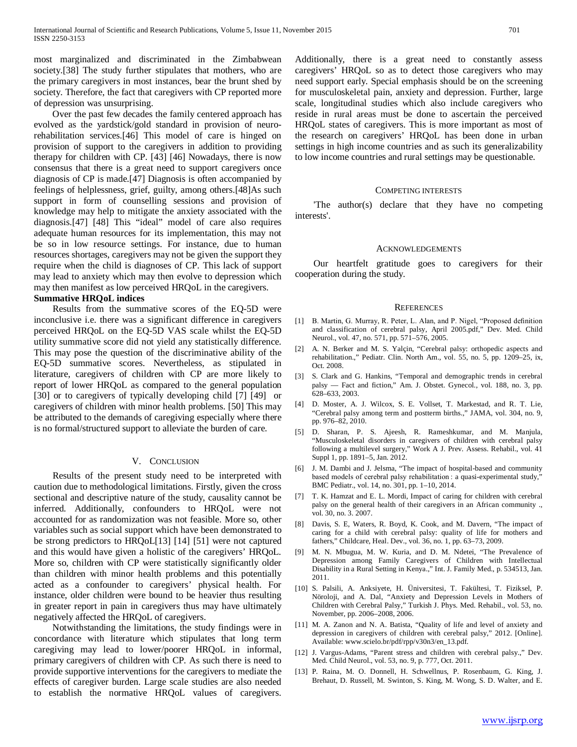most marginalized and discriminated in the Zimbabwean society.[38] The study further stipulates that mothers, who are the primary caregivers in most instances, bear the brunt shed by society. Therefore, the fact that caregivers with CP reported more of depression was unsurprising.

 Over the past few decades the family centered approach has evolved as the yardstick/gold standard in provision of neurorehabilitation services.[46] This model of care is hinged on provision of support to the caregivers in addition to providing therapy for children with CP. [43] [46] Nowadays, there is now consensus that there is a great need to support caregivers once diagnosis of CP is made.[47] Diagnosis is often accompanied by feelings of helplessness, grief, guilty, among others.[48]As such support in form of counselling sessions and provision of knowledge may help to mitigate the anxiety associated with the diagnosis.[47] [48] This "ideal" model of care also requires adequate human resources for its implementation, this may not be so in low resource settings. For instance, due to human resources shortages, caregivers may not be given the support they require when the child is diagnoses of CP. This lack of support may lead to anxiety which may then evolve to depression which may then manifest as low perceived HRQoL in the caregivers.

#### **Summative HRQoL indices**

 Results from the summative scores of the EQ-5D were inconclusive i.e. there was a significant difference in caregivers perceived HRQoL on the EQ-5D VAS scale whilst the EQ-5D utility summative score did not yield any statistically difference. This may pose the question of the discriminative ability of the EQ-5D summative scores. Nevertheless, as stipulated in literature, caregivers of children with CP are more likely to report of lower HRQoL as compared to the general population [30] or to caregivers of typically developing child [7] [49] or caregivers of children with minor health problems. [50] This may be attributed to the demands of caregiving especially where there is no formal/structured support to alleviate the burden of care.

#### V. CONCLUSION

 Results of the present study need to be interpreted with caution due to methodological limitations. Firstly, given the cross sectional and descriptive nature of the study, causality cannot be inferred. Additionally, confounders to HRQoL were not accounted for as randomization was not feasible. More so, other variables such as social support which have been demonstrated to be strong predictors to HRQoL[13] [14] [51] were not captured and this would have given a holistic of the caregivers' HRQoL. More so, children with CP were statistically significantly older than children with minor health problems and this potentially acted as a confounder to caregivers' physical health. For instance, older children were bound to be heavier thus resulting in greater report in pain in caregivers thus may have ultimately negatively affected the HRQoL of caregivers.

 Notwithstanding the limitations, the study findings were in concordance with literature which stipulates that long term caregiving may lead to lower/poorer HRQoL in informal, primary caregivers of children with CP. As such there is need to provide supportive interventions for the caregivers to mediate the effects of caregiver burden. Large scale studies are also needed to establish the normative HRQoL values of caregivers.

Additionally, there is a great need to constantly assess caregivers' HRQoL so as to detect those caregivers who may need support early. Special emphasis should be on the screening for musculoskeletal pain, anxiety and depression. Further, large scale, longitudinal studies which also include caregivers who reside in rural areas must be done to ascertain the perceived HRQoL states of caregivers. This is more important as most of the research on caregivers' HRQoL has been done in urban settings in high income countries and as such its generalizability to low income countries and rural settings may be questionable.

#### COMPETING INTERESTS

 'The author(s) declare that they have no competing interests'.

#### ACKNOWLEDGEMENTS

 Our heartfelt gratitude goes to caregivers for their cooperation during the study.

#### REFERENCES

- [1] B. Martin, G. Murray, R. Peter, L. Alan, and P. Nigel, "Proposed definition and classification of cerebral palsy, April 2005.pdf," Dev. Med. Child Neurol., vol. 47, no. 571, pp. 571–576, 2005.
- [2] A. N. Berker and M. S. Yalçin, "Cerebral palsy: orthopedic aspects and rehabilitation.," Pediatr. Clin. North Am., vol. 55, no. 5, pp. 1209–25, ix, Oct. 2008.
- [3] S. Clark and G. Hankins, "Temporal and demographic trends in cerebral palsy — Fact and fiction," Am. J. Obstet. Gynecol., vol. 188, no. 3, pp. 628–633, 2003.
- [4] D. Moster, A. J. Wilcox, S. E. Vollset, T. Markestad, and R. T. Lie, "Cerebral palsy among term and postterm births.," JAMA, vol. 304, no. 9, pp. 976–82, 2010.
- [5] D. Sharan, P. S. Ajeesh, R. Rameshkumar, and M. Manjula, "Musculoskeletal disorders in caregivers of children with cerebral palsy following a multilevel surgery," Work A J. Prev. Assess. Rehabil., vol. 41 Suppl 1, pp. 1891–5, Jan. 2012.
- [6] J. M. Dambi and J. Jelsma, "The impact of hospital-based and community based models of cerebral palsy rehabilitation : a quasi-experimental study," BMC Pediatr., vol. 14, no. 301, pp. 1–10, 2014.
- [7] T. K. Hamzat and E. L. Mordi, Impact of caring for children with cerebral palsy on the general health of their caregivers in an African community ., vol. 30, no. 3. 2007.
- [8] Davis, S. E, Waters, R. Boyd, K. Cook, and M. Davern, "The impact of caring for a child with cerebral palsy: quality of life for mothers and fathers," Childcare, Heal. Dev., vol. 36, no. 1, pp. 63–73, 2009.
- [9] M. N. Mbugua, M. W. Kuria, and D. M. Ndetei, "The Prevalence of Depression among Family Caregivers of Children with Intellectual Disability in a Rural Setting in Kenya.," Int. J. Family Med., p. 534513, Jan. 2011.
- [10] S. Palsili, A. Anksiyete, H. Üniversitesi, T. Fakültesi, T. Fiziksel, P. Nöroloji, and A. Dal, "Anxiety and Depression Levels in Mothers of Children with Cerebral Palsy," Turkish J. Phys. Med. Rehabil., vol. 53, no. November, pp. 2006–2008, 2006.
- [11] M. A. Zanon and N. A. Batista, "Quality of life and level of anxiety and depression in caregivers of children with cerebral palsy," 2012. [Online]. Available: www.scielo.br/pdf/rpp/v30n3/en\_13.pdf.
- [12] J. Vargus-Adams, "Parent stress and children with cerebral palsy.," Dev. Med. Child Neurol., vol. 53, no. 9, p. 777, Oct. 2011.
- [13] P. Raina, M. O. Donnell, H. Schwellnus, P. Rosenbaum, G. King, J. Brehaut, D. Russell, M. Swinton, S. King, M. Wong, S. D. Walter, and E.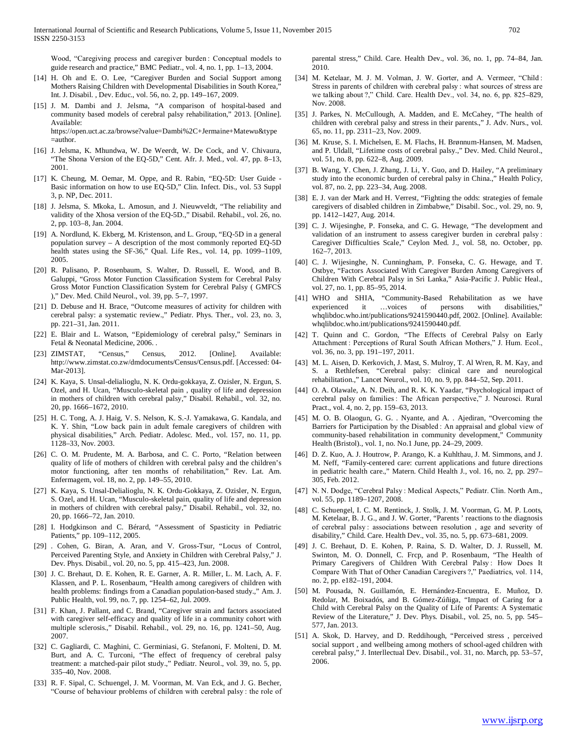Wood, "Caregiving process and caregiver burden : Conceptual models to guide research and practice," BMC Pediatr., vol. 4, no. 1, pp. 1–13, 2004.

- [14] H. Oh and E. O. Lee, "Caregiver Burden and Social Support among Mothers Raising Children with Developmental Disabilities in South Korea," Int. J. Disabil. , Dev. Educ., vol. 56, no. 2, pp. 149–167, 2009.
- [15] J. M. Dambi and J. Jelsma, "A comparison of hospital-based and community based models of cerebral palsy rehabilitation," 2013. [Online]. Available: https://open.uct.ac.za/browse?value=Dambi%2C+Jermaine+Matewu&type =author.
- [16] J. Jelsma, K. Mhundwa, W. De Weerdt, W. De Cock, and V. Chivaura, "The Shona Version of the EQ-5D," Cent. Afr. J. Med., vol. 47, pp. 8–13, 2001.
- [17] K. Cheung, M. Oemar, M. Oppe, and R. Rabin, "EQ-5D: User Guide Basic information on how to use EQ-5D," Clin. Infect. Dis., vol. 53 Suppl 3, p. NP, Dec. 2011.
- [18] J. Jelsma, S. Mkoka, L. Amosun, and J. Nieuwveldt, "The reliability and validity of the Xhosa version of the EQ-5D.," Disabil. Rehabil., vol. 26, no. 2, pp. 103–8, Jan. 2004.
- [19] A. Nordlund, K. Ekberg, M. Kristenson, and L. Group, "EQ-5D in a general population survey – A description of the most commonly reported EQ-5D health states using the SF-36," Qual. Life Res., vol. 14, pp. 1099–1109, 2005.
- [20] R. Palisano, P. Rosenbaum, S. Walter, D. Russell, E. Wood, and B. Galuppi, "Gross Motor Function Classification System for Cerebral Palsy Gross Motor Function Classification System for Cerebral Palsy ( GMFCS )," Dev. Med. Child Neurol., vol. 39, pp. 5–7, 1997.
- [21] D. Debuse and H. Brace, "Outcome measures of activity for children with cerebral palsy: a systematic review.," Pediatr. Phys. Ther., vol. 23, no. 3, pp. 221–31, Jan. 2011.
- [22] E. Blair and L. Watson, "Epidemiology of cerebral palsy," Seminars in Fetal & Neonatal Medicine, 2006. .
- [23] ZIMSTAT, "Census," Census, 2012. [Online]. Available: http://www.zimstat.co.zw/dmdocuments/Census/Census.pdf. [Accessed: 04- Mar-2013].
- [24] K. Kaya, S. Unsal-delialioglu, N. K. Ordu-gokkaya, Z. Ozisler, N. Ergun, S. Ozel, and H. Ucan, "Musculo-skeletal pain , quality of life and depression in mothers of children with cerebral palsy," Disabil. Rehabil., vol. 32, no. 20, pp. 1666–1672, 2010.
- [25] H. C. Tong, A. J. Haig, V. S. Nelson, K. S.-J. Yamakawa, G. Kandala, and K. Y. Shin, "Low back pain in adult female caregivers of children with physical disabilities," Arch. Pediatr. Adolesc. Med., vol. 157, no. 11, pp. 1128–33, Nov. 2003.
- [26] C. O. M. Prudente, M. A. Barbosa, and C. C. Porto, "Relation between quality of life of mothers of children with cerebral palsy and the children's motor functioning, after ten months of rehabilitation," Rev. Lat. Am. Enfermagem, vol. 18, no. 2, pp. 149–55, 2010.
- [27] K. Kaya, S. Unsal-Delialioglu, N. K. Ordu-Gokkaya, Z. Ozisler, N. Ergun, S. Ozel, and H. Ucan, "Musculo-skeletal pain, quality of life and depression in mothers of children with cerebral palsy," Disabil. Rehabil., vol. 32, no. 20, pp. 1666–72, Jan. 2010.
- [28] I. Hodgkinson and C. Bérard, "Assessment of Spasticity in Pediatric Patients," pp. 109–112, 2005.
- [29] . Cohen, G. Biran, A. Aran, and V. Gross-Tsur, "Locus of Control, Perceived Parenting Style, and Anxiety in Children with Cerebral Palsy," J. Dev. Phys. Disabil., vol. 20, no. 5, pp. 415–423, Jun. 2008.
- [30] J. C. Brehaut, D. E. Kohen, R. E. Garner, A. R. Miller, L. M. Lach, A. F. Klassen, and P. L. Rosenbaum, "Health among caregivers of children with health problems: findings from a Canadian population-based study.," Am. J. Public Health, vol. 99, no. 7, pp. 1254–62, Jul. 2009.
- [31] F. Khan, J. Pallant, and C. Brand, "Caregiver strain and factors associated with caregiver self-efficacy and quality of life in a community cohort with multiple sclerosis.," Disabil. Rehabil., vol. 29, no. 16, pp. 1241–50, Aug. 2007.
- [32] C. Gagliardi, C. Maghini, C. Germiniasi, G. Stefanoni, F. Molteni, D. M. Burt, and A. C. Turconi, "The effect of frequency of cerebral palsy treatment: a matched-pair pilot study.," Pediatr. Neurol., vol. 39, no. 5, pp. 335–40, Nov. 2008.
- [33] R. F. Sipal, C. Schuengel, J. M. Voorman, M. Van Eck, and J. G. Becher, "Course of behaviour problems of children with cerebral palsy : the role of

parental stress," Child. Care. Health Dev., vol. 36, no. 1, pp. 74–84, Jan. 2010.

- [34] M. Ketelaar, M. J. M. Volman, J. W. Gorter, and A. Vermeer, "Child: Stress in parents of children with cerebral palsy : what sources of stress are we talking about ?," Child. Care. Health Dev., vol. 34, no. 6, pp. 825–829, Nov. 2008.
- [35] J. Parkes, N. McCullough, A. Madden, and E. McCahey, "The health of children with cerebral palsy and stress in their parents.," J. Adv. Nurs., vol. 65, no. 11, pp. 2311–23, Nov. 2009.
- [36] M. Kruse, S. I. Michelsen, E. M. Flachs, H. Brønnum-Hansen, M. Madsen, and P. Uldall, "Lifetime costs of cerebral palsy.," Dev. Med. Child Neurol., vol. 51, no. 8, pp. 622–8, Aug. 2009.
- [37] B. Wang, Y. Chen, J. Zhang, J. Li, Y. Guo, and D. Hailey, "A preliminary study into the economic burden of cerebral palsy in China.," Health Policy, vol. 87, no. 2, pp. 223–34, Aug. 2008.
- [38] E. J. van der Mark and H. Verrest, "Fighting the odds: strategies of female caregivers of disabled children in Zimbabwe," Disabil. Soc., vol. 29, no. 9, pp. 1412–1427, Aug. 2014.
- [39] C. J. Wijesinghe, P. Fonseka, and C. G. Hewage, "The development and validation of an instrument to assess caregiver burden in cerebral palsy : Caregiver Difficulties Scale," Ceylon Med. J., vol. 58, no. October, pp. 162–7, 2013.
- [40] C. J. Wijesinghe, N. Cunningham, P. Fonseka, C. G. Hewage, and T. Ostbye, "Factors Associated With Caregiver Burden Among Caregivers of Children With Cerebral Palsy in Sri Lanka," Asia-Pacific J. Public Heal., vol. 27, no. 1, pp. 85–95, 2014.
- [41] WHO and SHIA, "Community-Based Rehabilitation as we have experienced it …voices of persons with disabilities," whqlibdoc.who.int/publications/9241590440.pdf, 2002. [Online]. Available: whqlibdoc.who.int/publications/9241590440.pdf.
- [42] T. Quinn and C. Gordon, "The Effects of Cerebral Palsy on Early Attachment : Perceptions of Rural South African Mothers," J. Hum. Ecol., vol. 36, no. 3, pp. 191–197, 2011.
- [43] M. L. Aisen, D. Kerkovich, J. Mast, S. Mulroy, T. Al Wren, R. M. Kay, and S. a Rethlefsen, "Cerebral palsy: clinical care and neurological rehabilitation.," Lancet Neurol., vol. 10, no. 9, pp. 844–52, Sep. 2011.
- [44] O. A. Olawale, A. N. Deih, and R. K. K. Yaadar, "Psychological impact of cerebral palsy on families : The African perspective," J. Neurosci. Rural Pract., vol. 4, no. 2, pp. 159–63, 2013.
- [45] M. O. B. Olaogun, G. G. . Nyante, and A. . Ajediran, "Overcoming the Barriers for Participation by the Disabled : An appraisal and global view of community-based rehabilitation in community development," Community Health (Bristol)., vol. 1, no. No.1 June, pp. 24–29, 2009.
- [46] D. Z. Kuo, A. J. Houtrow, P. Arango, K. a Kuhlthau, J. M. Simmons, and J. M. Neff, "Family-centered care: current applications and future directions in pediatric health care.," Matern. Child Health J., vol. 16, no. 2, pp. 297– 305, Feb. 2012.
- [47] N. N. Dodge, "Cerebral Palsy : Medical Aspects," Pediatr. Clin. North Am., vol. 55, pp. 1189–1207, 2008.
- [48] C. Schuengel, I. C. M. Rentinck, J. Stolk, J. M. Voorman, G. M. P. Loots, M. Ketelaar, B. J. G., and J. W. Gorter, "Parents ' reactions to the diagnosis of cerebral palsy : associations between resolution , age and severity of disability," Child. Care. Health Dev., vol. 35, no. 5, pp. 673–681, 2009.
- [49] J. C. Brehaut, D. E. Kohen, P. Raina, S. D. Walter, D. J. Russell, M. Swinton, M. O. Donnell, C. Frcp, and P. Rosenbaum, "The Health of Primary Caregivers of Children With Cerebral Palsy : How Does It Compare With That of Other Canadian Caregivers ?," Paediatrics, vol. 114, no. 2, pp. e182–191, 2004.
- [50] M. Pousada, N. Guillamón, E. Hernández-Encuentra, E. Muñoz, D. Redolar, M. Boixadós, and B. Gómez-Zúñiga, "Impact of Caring for a Child with Cerebral Palsy on the Quality of Life of Parents: A Systematic Review of the Literature," J. Dev. Phys. Disabil., vol. 25, no. 5, pp. 545– 577, Jan. 2013.
- [51] A. Skok, D. Harvey, and D. Reddihough, "Perceived stress , perceived social support , and wellbeing among mothers of school-aged children with cerebral palsy," J. Interllectual Dev. Disabil., vol. 31, no. March, pp. 53–57, 2006.